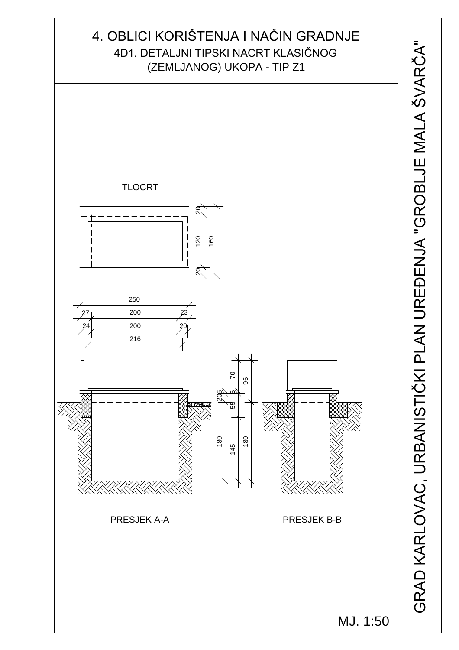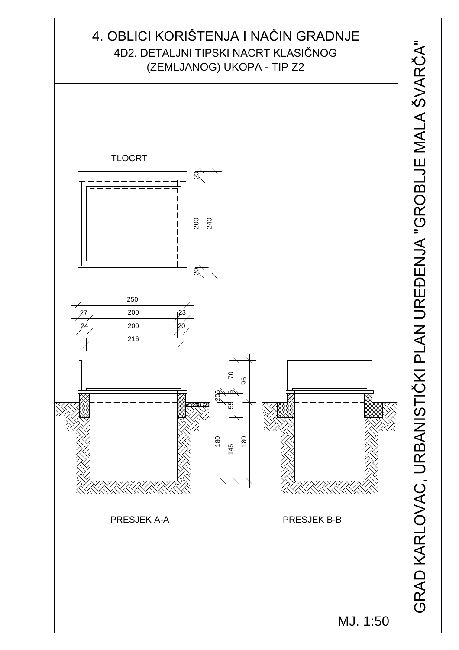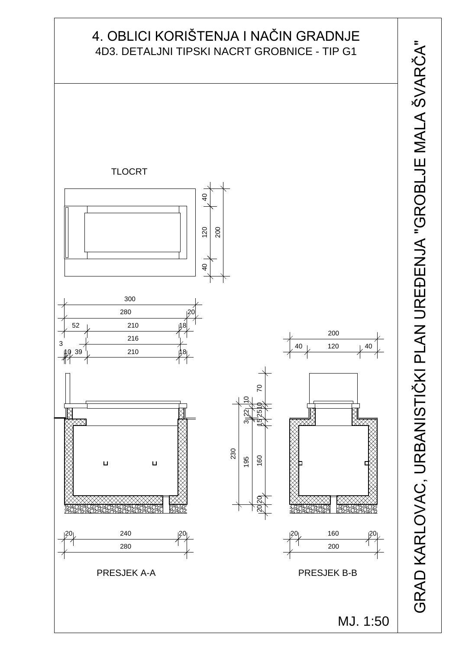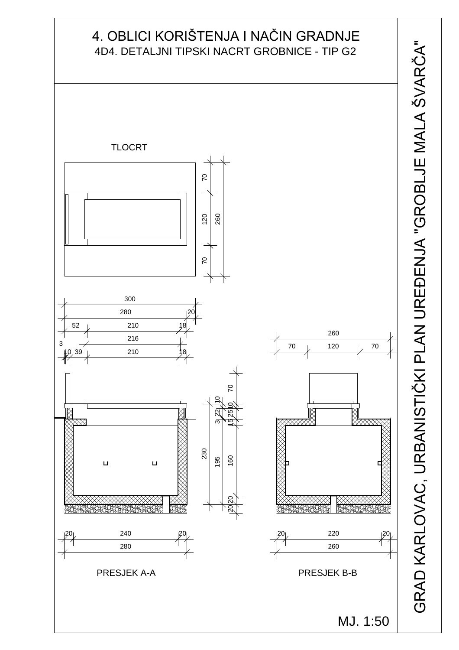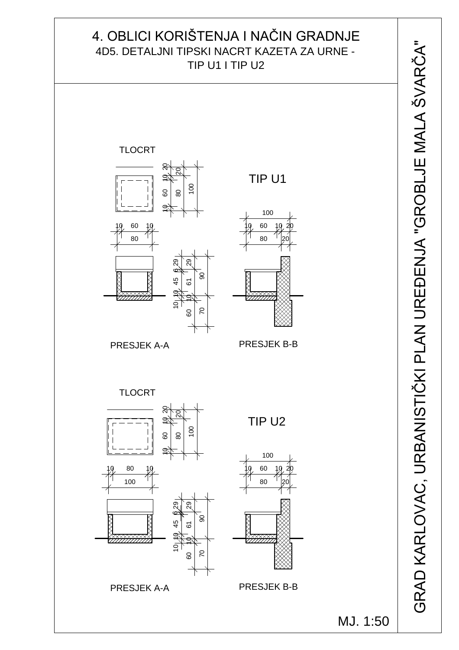